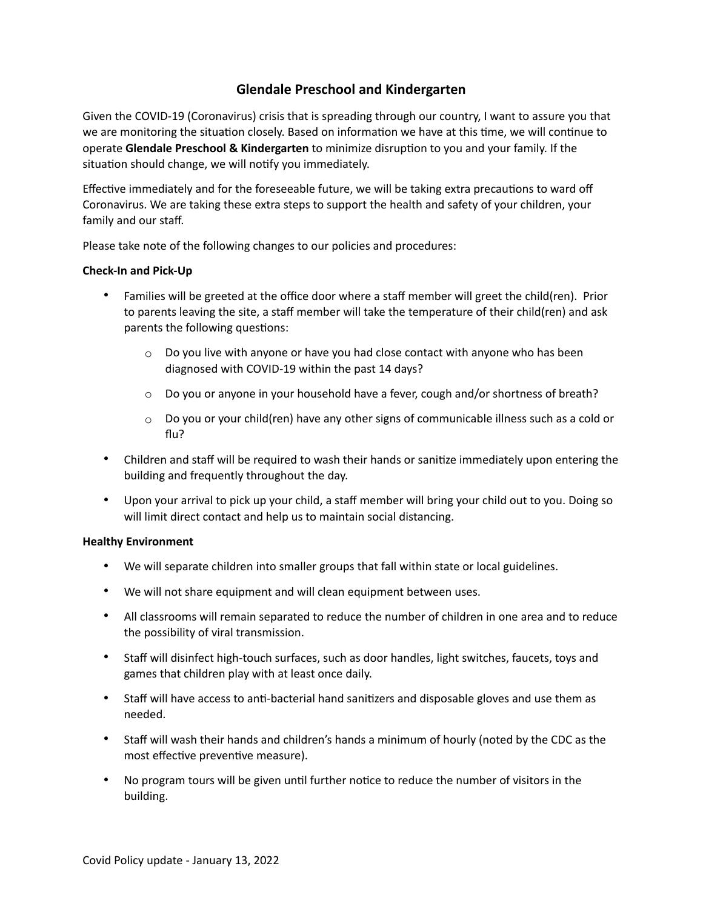# **Glendale Preschool and Kindergarten**

Given the COVID-19 (Coronavirus) crisis that is spreading through our country, I want to assure you that we are monitoring the situation closely. Based on information we have at this time, we will continue to operate **Glendale Preschool & Kindergarten** to minimize disruption to you and your family. If the situation should change, we will notify you immediately.

Effective immediately and for the foreseeable future, we will be taking extra precautions to ward off Coronavirus. We are taking these extra steps to support the health and safety of your children, your family and our staff.

Please take note of the following changes to our policies and procedures:

## **Check-In and Pick-Up**

- Families will be greeted at the office door where a staff member will greet the child(ren). Prior to parents leaving the site, a staff member will take the temperature of their child(ren) and ask parents the following questions:
	- $\circ$  Do you live with anyone or have you had close contact with anyone who has been diagnosed with COVID-19 within the past 14 days?
	- $\circ$  Do you or anyone in your household have a fever, cough and/or shortness of breath?
	- $\circ$  Do you or your child(ren) have any other signs of communicable illness such as a cold or flu?
- Children and staff will be required to wash their hands or sanitize immediately upon entering the building and frequently throughout the day.
- Upon your arrival to pick up your child, a staff member will bring your child out to you. Doing so will limit direct contact and help us to maintain social distancing.

#### **Healthy Environment**

- We will separate children into smaller groups that fall within state or local guidelines.
- We will not share equipment and will clean equipment between uses.
- All classrooms will remain separated to reduce the number of children in one area and to reduce the possibility of viral transmission.
- Staff will disinfect high-touch surfaces, such as door handles, light switches, faucets, toys and games that children play with at least once daily.
- Staff will have access to anti-bacterial hand sanitizers and disposable gloves and use them as needed.
- Staff will wash their hands and children's hands a minimum of hourly (noted by the CDC as the most effective preventive measure).
- No program tours will be given until further notice to reduce the number of visitors in the building.